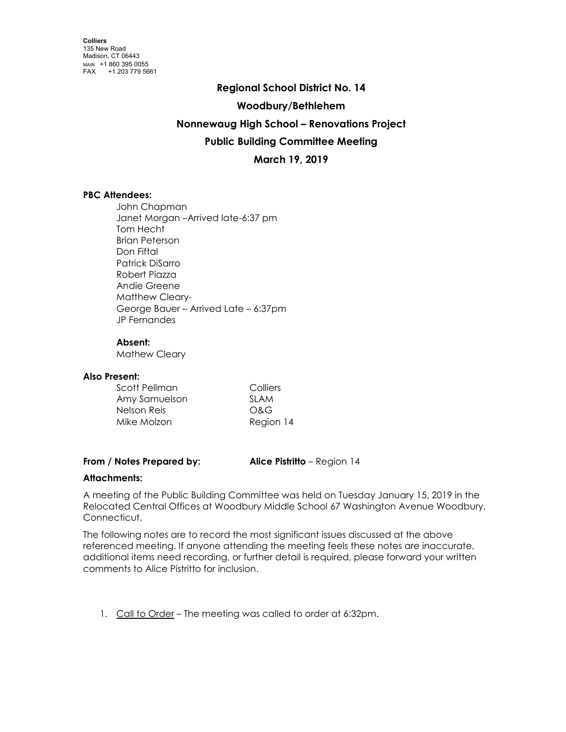# **Regional School District No. 14**

**Woodbury/Bethlehem**

## **Nonnewaug High School – Renovations Project**

## **Public Building Committee Meeting**

**March 19, 2019**

## **PBC Attendees:**

John Chapman Janet Morgan –Arrived late-6:37 pm Tom Hecht Brian Peterson Don Fiftal Patrick DiSarro Robert Piazza Andie Greene Matthew Cleary-George Bauer – Arrived Late – 6:37pm JP Fernandes

#### **Absent:**

Mathew Cleary

#### **Also Present:**

| Scott Pellman | Colliers    |
|---------------|-------------|
| Amy Samuelson | <b>SLAM</b> |
| Nelson Reis   | O&G         |
| Mike Molzon   | Region 14   |

#### **From / Notes Prepared by: Alice Pistritto** – Region 14

## **Attachments:**

A meeting of the Public Building Committee was held on Tuesday January 15, 2019 in the Relocated Central Offices at Woodbury Middle School 67 Washington Avenue Woodbury, Connecticut.

The following notes are to record the most significant issues discussed at the above referenced meeting. If anyone attending the meeting feels these notes are inaccurate, additional items need recording, or further detail is required, please forward your written comments to Alice Pistritto for inclusion.

1. Call to Order – The meeting was called to order at 6:32pm.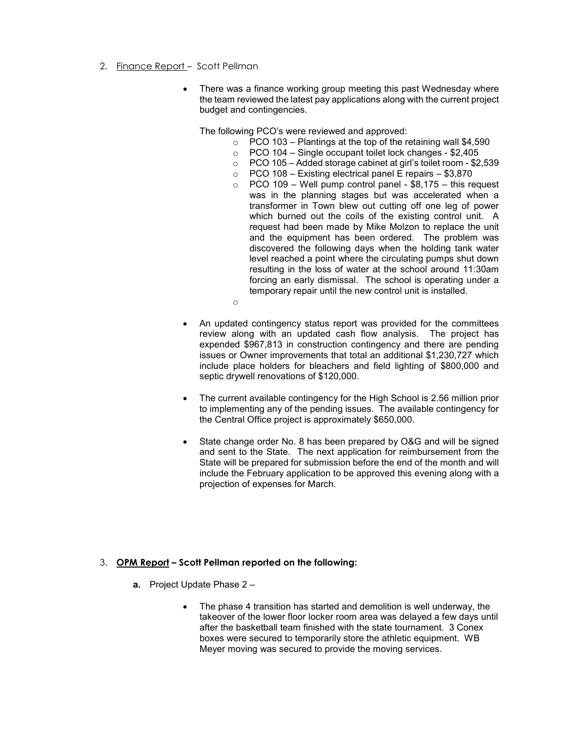- 2. Finance Report Scott Pellman
	- There was a finance working group meeting this past Wednesday where the team reviewed the latest pay applications along with the current project budget and contingencies.

The following PCO's were reviewed and approved:

- $\circ$  PCO 103 Plantings at the top of the retaining wall \$4,590
- o PCO 104 Single occupant toilet lock changes \$2,405
- o PCO 105 Added storage cabinet at girl's toilet room \$2,539
- $\circ$  PCO 108 Existing electrical panel E repairs \$3,870
- $\circ$  PCO 109 Well pump control panel \$8,175 this request was in the planning stages but was accelerated when a transformer in Town blew out cutting off one leg of power which burned out the coils of the existing control unit. A request had been made by Mike Molzon to replace the unit and the equipment has been ordered. The problem was discovered the following days when the holding tank water level reached a point where the circulating pumps shut down resulting in the loss of water at the school around 11:30am forcing an early dismissal. The school is operating under a temporary repair until the new control unit is installed.
- o
- An updated contingency status report was provided for the committees review along with an updated cash flow analysis. The project has expended \$967,813 in construction contingency and there are pending issues or Owner improvements that total an additional \$1,230,727 which include place holders for bleachers and field lighting of \$800,000 and septic drywell renovations of \$120,000.
- The current available contingency for the High School is 2.56 million prior to implementing any of the pending issues. The available contingency for the Central Office project is approximately \$650,000.
- State change order No. 8 has been prepared by O&G and will be signed and sent to the State. The next application for reimbursement from the State will be prepared for submission before the end of the month and will include the February application to be approved this evening along with a projection of expenses for March.

#### 3. **OPM Report – Scott Pellman reported on the following:**

- **a.** Project Update Phase 2
	- The phase 4 transition has started and demolition is well underway, the takeover of the lower floor locker room area was delayed a few days until after the basketball team finished with the state tournament. 3 Conex boxes were secured to temporarily store the athletic equipment. WB Meyer moving was secured to provide the moving services.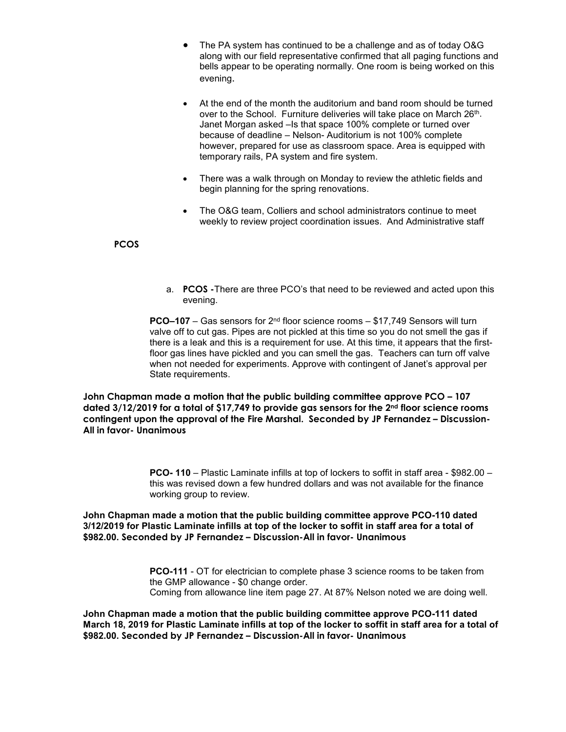- The PA system has continued to be a challenge and as of today O&G along with our field representative confirmed that all paging functions and bells appear to be operating normally. One room is being worked on this evening.
- At the end of the month the auditorium and band room should be turned over to the School. Furniture deliveries will take place on March 26<sup>th</sup>. Janet Morgan asked –Is that space 100% complete or turned over because of deadline – Nelson- Auditorium is not 100% complete however, prepared for use as classroom space. Area is equipped with temporary rails, PA system and fire system.
- There was a walk through on Monday to review the athletic fields and begin planning for the spring renovations.
- The O&G team, Colliers and school administrators continue to meet weekly to review project coordination issues. And Administrative staff

## **PCOS**

a. **PCOS -**There are three PCO's that need to be reviewed and acted upon this evening.

**PCO–107** – Gas sensors for 2<sup>nd</sup> floor science rooms – \$17,749 Sensors will turn valve off to cut gas. Pipes are not pickled at this time so you do not smell the gas if there is a leak and this is a requirement for use. At this time, it appears that the firstfloor gas lines have pickled and you can smell the gas. Teachers can turn off valve when not needed for experiments. Approve with contingent of Janet's approval per State requirements.

**John Chapman made a motion that the public building committee approve PCO – 107 dated 3/12/2019 for a total of \$17,749 to provide gas sensors for the 2nd floor science rooms contingent upon the approval of the Fire Marshal. Seconded by JP Fernandez – Discussion-All in favor- Unanimous**

> **PCO- 110** – Plastic Laminate infills at top of lockers to soffit in staff area - \$982.00 – this was revised down a few hundred dollars and was not available for the finance working group to review.

**John Chapman made a motion that the public building committee approve PCO-110 dated 3/12/2019 for Plastic Laminate infills at top of the locker to soffit in staff area for a total of \$982.00. Seconded by JP Fernandez – Discussion-All in favor- Unanimous**

> **PCO-111** - OT for electrician to complete phase 3 science rooms to be taken from the GMP allowance - \$0 change order. Coming from allowance line item page 27. At 87% Nelson noted we are doing well.

**John Chapman made a motion that the public building committee approve PCO-111 dated March 18, 2019 for Plastic Laminate infills at top of the locker to soffit in staff area for a total of \$982.00. Seconded by JP Fernandez – Discussion-All in favor- Unanimous**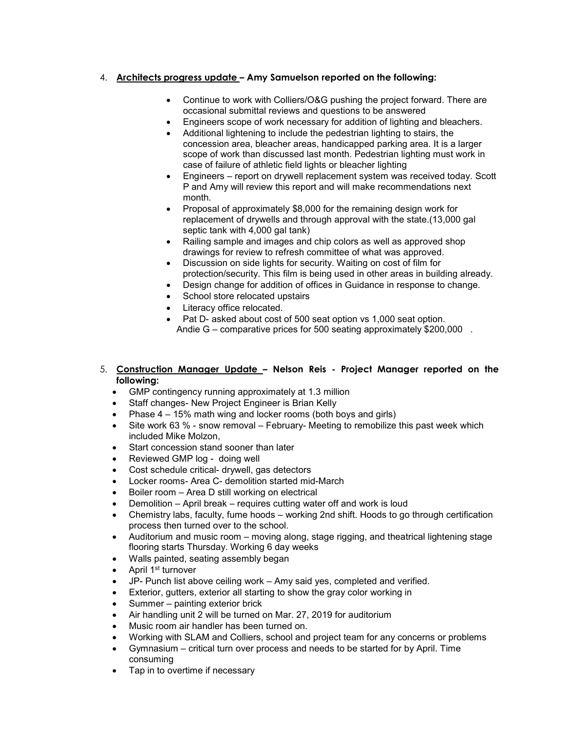## 4. **Architects progress update – Amy Samuelson reported on the following:**

- Continue to work with Colliers/O&G pushing the project forward. There are occasional submittal reviews and questions to be answered
- Engineers scope of work necessary for addition of lighting and bleachers.
- Additional lightening to include the pedestrian lighting to stairs, the concession area, bleacher areas, handicapped parking area. It is a larger scope of work than discussed last month. Pedestrian lighting must work in case of failure of athletic field lights or bleacher lighting
- Engineers report on drywell replacement system was received today. Scott P and Amy will review this report and will make recommendations next month.
- Proposal of approximately \$8,000 for the remaining design work for replacement of drywells and through approval with the state.(13,000 gal septic tank with 4,000 gal tank)
- Railing sample and images and chip colors as well as approved shop drawings for review to refresh committee of what was approved.
- Discussion on side lights for security. Waiting on cost of film for protection/security. This film is being used in other areas in building already.
- Design change for addition of offices in Guidance in response to change.
- School store relocated upstairs
- Literacy office relocated.
- Pat D- asked about cost of 500 seat option vs 1,000 seat option. Andie G – comparative prices for 500 seating approximately \$200,000.
- 5. **Construction Manager Update – Nelson Reis - Project Manager reported on the following:**
	- GMP contingency running approximately at 1.3 million
	- Staff changes- New Project Engineer is Brian Kelly
	- Phase 4 15% math wing and locker rooms (both boys and girls)
	- Site work 63 % snow removal February- Meeting to remobilize this past week which included Mike Molzon,
	- Start concession stand sooner than later
	- Reviewed GMP log doing well
	- Cost schedule critical- drywell, gas detectors
	- Locker rooms- Area C- demolition started mid-March
	- Boiler room Area D still working on electrical
	- Demolition April break requires cutting water off and work is loud
	- Chemistry labs, faculty, fume hoods working 2nd shift. Hoods to go through certification process then turned over to the school.
	- Auditorium and music room moving along, stage rigging, and theatrical lightening stage flooring starts Thursday. Working 6 day weeks
	- Walls painted, seating assembly began
	- April 1<sup>st</sup> turnover
	- JP- Punch list above ceiling work Amy said yes, completed and verified.
	- Exterior, gutters, exterior all starting to show the gray color working in
	- Summer painting exterior brick
	- Air handling unit 2 will be turned on Mar. 27, 2019 for auditorium
	- Music room air handler has been turned on.
	- Working with SLAM and Colliers, school and project team for any concerns or problems
	- Gymnasium critical turn over process and needs to be started for by April. Time consuming
	- Tap in to overtime if necessary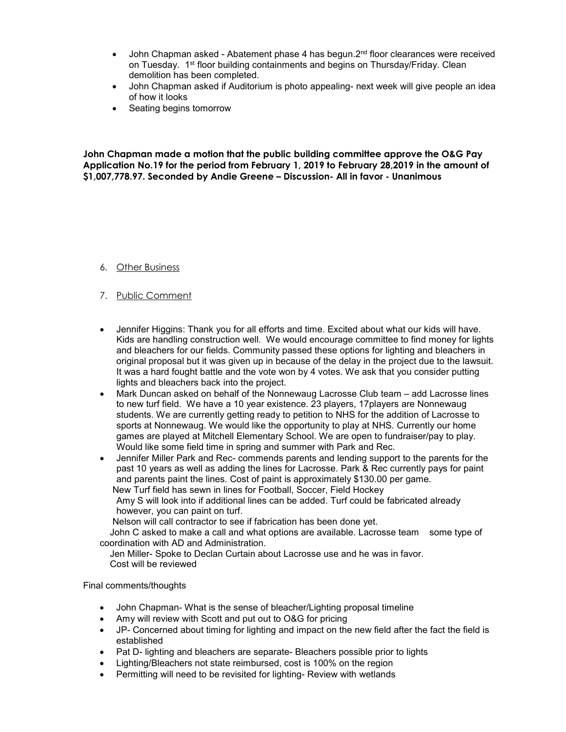- John Chapman asked Abatement phase 4 has begun. $2<sup>nd</sup>$  floor clearances were received on Tuesday. 1st floor building containments and begins on Thursday/Friday. Clean demolition has been completed.
- John Chapman asked if Auditorium is photo appealing- next week will give people an idea of how it looks
- Seating begins tomorrow

**John Chapman made a motion that the public building committee approve the O&G Pay Application No.19 for the period from February 1, 2019 to February 28,2019 in the amount of \$1,007,778.97. Seconded by Andie Greene – Discussion- All in favor - Unanimous**

- 6. Other Business
- 7. Public Comment
- Jennifer Higgins: Thank you for all efforts and time. Excited about what our kids will have. Kids are handling construction well. We would encourage committee to find money for lights and bleachers for our fields. Community passed these options for lighting and bleachers in original proposal but it was given up in because of the delay in the project due to the lawsuit. It was a hard fought battle and the vote won by 4 votes. We ask that you consider putting lights and bleachers back into the project.
- Mark Duncan asked on behalf of the Nonnewaug Lacrosse Club team add Lacrosse lines to new turf field. We have a 10 year existence. 23 players, 17players are Nonnewaug students. We are currently getting ready to petition to NHS for the addition of Lacrosse to sports at Nonnewaug. We would like the opportunity to play at NHS. Currently our home games are played at Mitchell Elementary School. We are open to fundraiser/pay to play. Would like some field time in spring and summer with Park and Rec.
- Jennifer Miller Park and Rec- commends parents and lending support to the parents for the past 10 years as well as adding the lines for Lacrosse. Park & Rec currently pays for paint and parents paint the lines. Cost of paint is approximately \$130.00 per game. New Turf field has sewn in lines for Football, Soccer, Field Hockey

Amy S will look into if additional lines can be added. Turf could be fabricated already however, you can paint on turf.

Nelson will call contractor to see if fabrication has been done yet.

 John C asked to make a call and what options are available. Lacrosse team some type of coordination with AD and Administration.

 Jen Miller- Spoke to Declan Curtain about Lacrosse use and he was in favor. Cost will be reviewed

Final comments/thoughts

- John Chapman- What is the sense of bleacher/Lighting proposal timeline
- Amy will review with Scott and put out to O&G for pricing
- JP- Concerned about timing for lighting and impact on the new field after the fact the field is established
- Pat D- lighting and bleachers are separate- Bleachers possible prior to lights
- Lighting/Bleachers not state reimbursed, cost is 100% on the region
- Permitting will need to be revisited for lighting- Review with wetlands